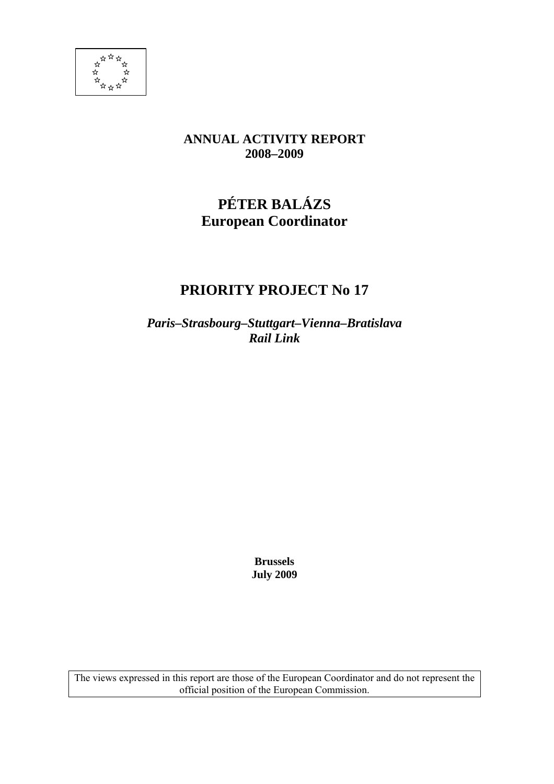

## **ANNUAL ACTIVITY REPORT 2008–2009**

# **PÉTER BALÁZS European Coordinator**

## **PRIORITY PROJECT No 17**

*Paris–Strasbourg–Stuttgart–Vienna–Bratislava Rail Link* 

> **Brussels July 2009**

The views expressed in this report are those of the European Coordinator and do not represent the official position of the European Commission.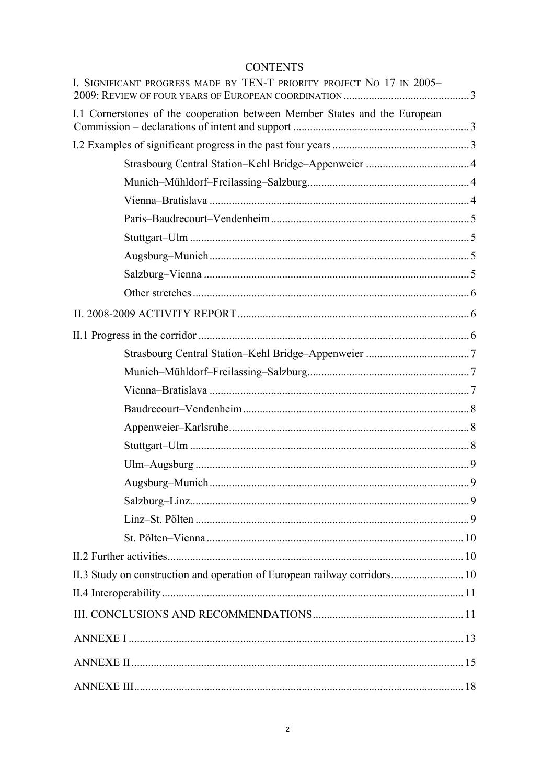## **CONTENTS**

| I. SIGNIFICANT PROGRESS MADE BY TEN-T PRIORITY PROJECT NO 17 IN 2005-      |  |
|----------------------------------------------------------------------------|--|
| I.1 Cornerstones of the cooperation between Member States and the European |  |
|                                                                            |  |
|                                                                            |  |
|                                                                            |  |
|                                                                            |  |
|                                                                            |  |
|                                                                            |  |
|                                                                            |  |
|                                                                            |  |
|                                                                            |  |
|                                                                            |  |
|                                                                            |  |
|                                                                            |  |
|                                                                            |  |
|                                                                            |  |
|                                                                            |  |
|                                                                            |  |
|                                                                            |  |
|                                                                            |  |
|                                                                            |  |
|                                                                            |  |
|                                                                            |  |
|                                                                            |  |
|                                                                            |  |
| II.3 Study on construction and operation of European railway corridors 10  |  |
|                                                                            |  |
|                                                                            |  |
|                                                                            |  |
|                                                                            |  |
|                                                                            |  |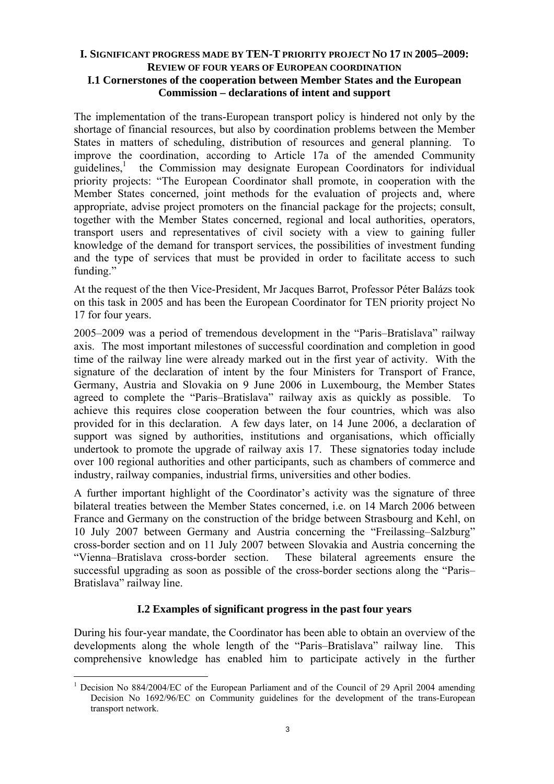## <span id="page-2-1"></span><span id="page-2-0"></span>**I. SIGNIFICANT PROGRESS MADE BY TEN-T PRIORITY PROJECT NO 17 IN 2005–2009: REVIEW OF FOUR YEARS OF EUROPEAN COORDINATION I.1 Cornerstones of the cooperation between Member States and the European Commission – declarations of intent and support**

The implementation of the trans-European transport policy is hindered not only by the shortage of financial resources, but also by coordination problems between the Member States in matters of scheduling, distribution of resources and general planning. To improve the coordination, according to Article 17a of the amended Community guidelines,<sup>1</sup> the Commission may designate European Coordinators for individual priority projects: "The European Coordinator shall promote, in cooperation with the Member States concerned, joint methods for the evaluation of projects and, where appropriate, advise project promoters on the financial package for the projects; consult, together with the Member States concerned, regional and local authorities, operators, transport users and representatives of civil society with a view to gaining fuller knowledge of the demand for transport services, the possibilities of investment funding and the type of services that must be provided in order to facilitate access to such funding."

At the request of the then Vice-President, Mr Jacques Barrot, Professor Péter Balázs took on this task in 2005 and has been the European Coordinator for TEN priority project No 17 for four years.

2005–2009 was a period of tremendous development in the "Paris–Bratislava" railway axis. The most important milestones of successful coordination and completion in good time of the railway line were already marked out in the first year of activity. With the signature of the declaration of intent by the four Ministers for Transport of France, Germany, Austria and Slovakia on 9 June 2006 in Luxembourg, the Member States agreed to complete the "Paris–Bratislava" railway axis as quickly as possible. To achieve this requires close cooperation between the four countries, which was also provided for in this declaration. A few days later, on 14 June 2006, a declaration of support was signed by authorities, institutions and organisations, which officially undertook to promote the upgrade of railway axis 17. These signatories today include over 100 regional authorities and other participants, such as chambers of commerce and industry, railway companies, industrial firms, universities and other bodies.

A further important highlight of the Coordinator's activity was the signature of three bilateral treaties between the Member States concerned, i.e. on 14 March 2006 between France and Germany on the construction of the bridge between Strasbourg and Kehl, on 10 July 2007 between Germany and Austria concerning the "Freilassing–Salzburg" cross-border section and on 11 July 2007 between Slovakia and Austria concerning the "Vienna–Bratislava cross-border section. These bilateral agreements ensure the successful upgrading as soon as possible of the cross-border sections along the "Paris– Bratislava" railway line.

## **I.2 Examples of significant progress in the past four years**

<span id="page-2-2"></span>During his four-year mandate, the Coordinator has been able to obtain an overview of the developments along the whole length of the "Paris–Bratislava" railway line. This comprehensive knowledge has enabled him to participate actively in the further

 $\overline{a}$ 

<sup>&</sup>lt;sup>1</sup> Decision No 884/2004/EC of the European Parliament and of the Council of 29 April 2004 amending Decision No 1692/96/EC on Community guidelines for the development of the trans-European transport network.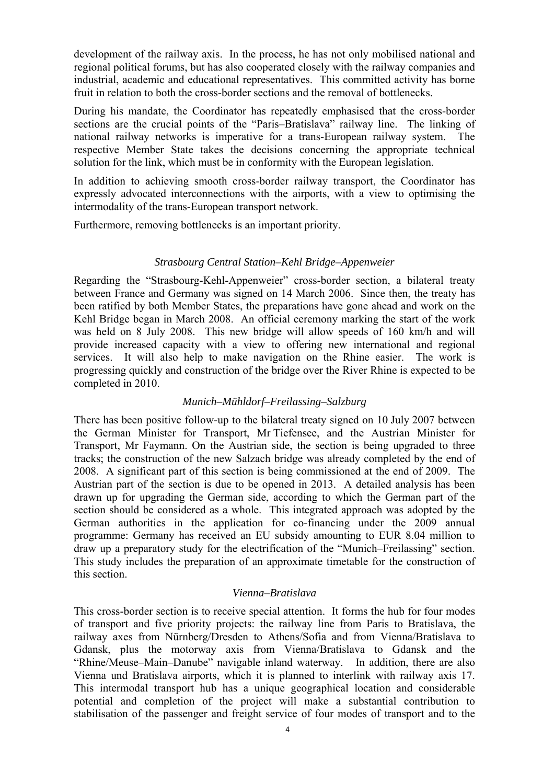development of the railway axis. In the process, he has not only mobilised national and regional political forums, but has also cooperated closely with the railway companies and industrial, academic and educational representatives. This committed activity has borne fruit in relation to both the cross-border sections and the removal of bottlenecks.

During his mandate, the Coordinator has repeatedly emphasised that the cross-border sections are the crucial points of the "Paris–Bratislava" railway line. The linking of national railway networks is imperative for a trans-European railway system. The respective Member State takes the decisions concerning the appropriate technical solution for the link, which must be in conformity with the European legislation.

In addition to achieving smooth cross-border railway transport, the Coordinator has expressly advocated interconnections with the airports, with a view to optimising the intermodality of the trans-European transport network.

<span id="page-3-0"></span>Furthermore, removing bottlenecks is an important priority.

## *Strasbourg Central Station–Kehl Bridge–Appenweier*

Regarding the "Strasbourg-Kehl-Appenweier" cross-border section, a bilateral treaty between France and Germany was signed on 14 March 2006. Since then, the treaty has been ratified by both Member States, the preparations have gone ahead and work on the Kehl Bridge began in March 2008. An official ceremony marking the start of the work was held on 8 July 2008. This new bridge will allow speeds of 160 km/h and will provide increased capacity with a view to offering new international and regional services. It will also help to make navigation on the Rhine easier. The work is progressing quickly and construction of the bridge over the River Rhine is expected to be completed in 2010.

## *Munich–Mühldorf–Freilassing–Salzburg*

<span id="page-3-1"></span>There has been positive follow-up to the bilateral treaty signed on 10 July 2007 between the German Minister for Transport, Mr Tiefensee, and the Austrian Minister for Transport, Mr Faymann. On the Austrian side, the section is being upgraded to three tracks; the construction of the new Salzach bridge was already completed by the end of 2008. A significant part of this section is being commissioned at the end of 2009. The Austrian part of the section is due to be opened in 2013. A detailed analysis has been drawn up for upgrading the German side, according to which the German part of the section should be considered as a whole. This integrated approach was adopted by the German authorities in the application for co-financing under the 2009 annual programme: Germany has received an EU subsidy amounting to EUR 8.04 million to draw up a preparatory study for the electrification of the "Munich–Freilassing" section. This study includes the preparation of an approximate timetable for the construction of this section.

#### *Vienna–Bratislava*

<span id="page-3-2"></span>This cross-border section is to receive special attention. It forms the hub for four modes of transport and five priority projects: the railway line from Paris to Bratislava, the railway axes from Nürnberg/Dresden to Athens/Sofia and from Vienna/Bratislava to Gdansk, plus the motorway axis from Vienna/Bratislava to Gdansk and the "Rhine/Meuse–Main–Danube" navigable inland waterway. In addition, there are also Vienna und Bratislava airports, which it is planned to interlink with railway axis 17. This intermodal transport hub has a unique geographical location and considerable potential and completion of the project will make a substantial contribution to stabilisation of the passenger and freight service of four modes of transport and to the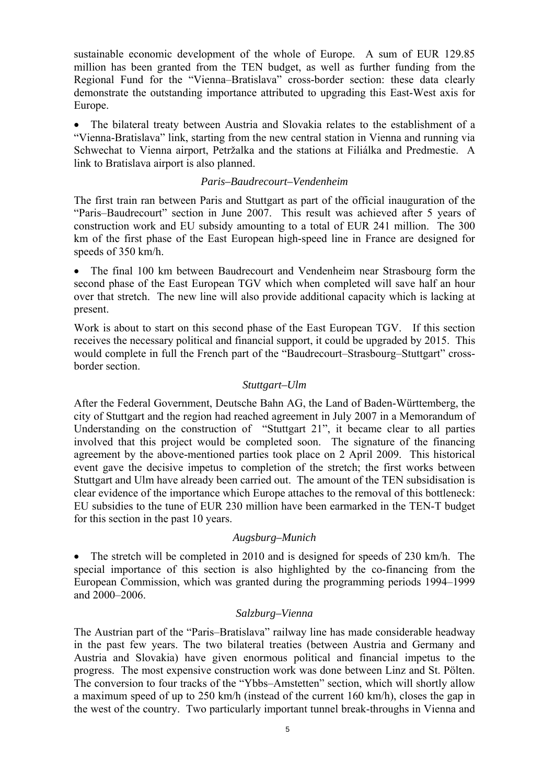sustainable economic development of the whole of Europe. A sum of EUR 129.85 million has been granted from the TEN budget, as well as further funding from the Regional Fund for the "Vienna–Bratislava" cross-border section: these data clearly demonstrate the outstanding importance attributed to upgrading this East-West axis for Europe.

• The bilateral treaty between Austria and Slovakia relates to the establishment of a "Vienna-Bratislava" link, starting from the new central station in Vienna and running via Schwechat to Vienna airport, Petržalka and the stations at Filiálka and Predmestie. A link to Bratislava airport is also planned.

#### *Paris–Baudrecourt–Vendenheim*

<span id="page-4-0"></span>The first train ran between Paris and Stuttgart as part of the official inauguration of the "Paris–Baudrecourt" section in June 2007. This result was achieved after 5 years of construction work and EU subsidy amounting to a total of EUR 241 million. The 300 km of the first phase of the East European high-speed line in France are designed for speeds of 350 km/h.

• The final 100 km between Baudrecourt and Vendenheim near Strasbourg form the second phase of the East European TGV which when completed will save half an hour over that stretch. The new line will also provide additional capacity which is lacking at present.

Work is about to start on this second phase of the East European TGV. If this section receives the necessary political and financial support, it could be upgraded by 2015. This would complete in full the French part of the "Baudrecourt–Strasbourg–Stuttgart" crossborder section.

#### *Stuttgart–Ulm*

<span id="page-4-1"></span>After the Federal Government, Deutsche Bahn AG, the Land of Baden-Württemberg, the city of Stuttgart and the region had reached agreement in July 2007 in a Memorandum of Understanding on the construction of "Stuttgart 21", it became clear to all parties involved that this project would be completed soon. The signature of the financing agreement by the above-mentioned parties took place on 2 April 2009. This historical event gave the decisive impetus to completion of the stretch; the first works between Stuttgart and Ulm have already been carried out. The amount of the TEN subsidisation is clear evidence of the importance which Europe attaches to the removal of this bottleneck: EU subsidies to the tune of EUR 230 million have been earmarked in the TEN-T budget for this section in the past 10 years.

#### *Augsburg–Munich*

<span id="page-4-2"></span>• The stretch will be completed in 2010 and is designed for speeds of 230 km/h. The special importance of this section is also highlighted by the co-financing from the European Commission, which was granted during the programming periods 1994–1999 and 2000–2006.

#### *Salzburg–Vienna*

<span id="page-4-3"></span>The Austrian part of the "Paris–Bratislava" railway line has made considerable headway in the past few years. The two bilateral treaties (between Austria and Germany and Austria and Slovakia) have given enormous political and financial impetus to the progress. The most expensive construction work was done between Linz and St. Pölten. The conversion to four tracks of the "Ybbs–Amstetten" section, which will shortly allow a maximum speed of up to 250 km/h (instead of the current 160 km/h), closes the gap in the west of the country. Two particularly important tunnel break-throughs in Vienna and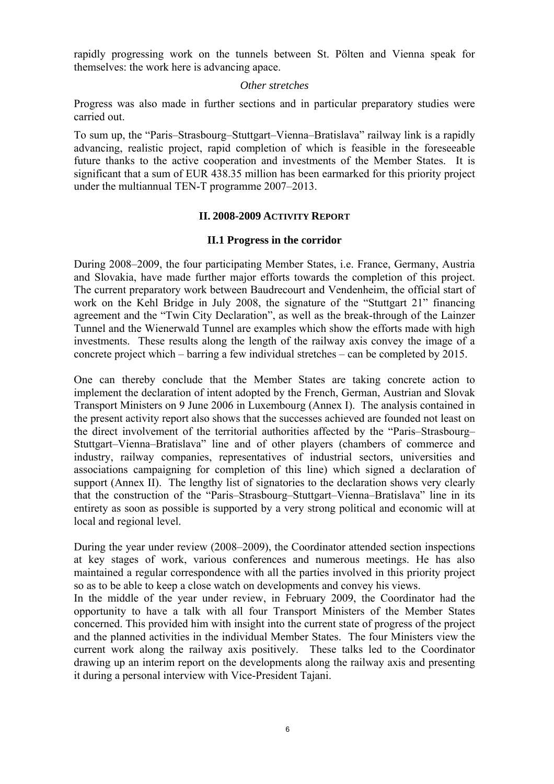<span id="page-5-0"></span>rapidly progressing work on the tunnels between St. Pölten and Vienna speak for themselves: the work here is advancing apace.

#### *Other stretches*

Progress was also made in further sections and in particular preparatory studies were carried out.

To sum up, the "Paris–Strasbourg–Stuttgart–Vienna–Bratislava" railway link is a rapidly advancing, realistic project, rapid completion of which is feasible in the foreseeable future thanks to the active cooperation and investments of the Member States. It is significant that a sum of EUR 438.35 million has been earmarked for this priority project under the multiannual TEN-T programme 2007–2013.

#### **II. 2008-2009 ACTIVITY REPORT**

#### **II.1 Progress in the corridor**

<span id="page-5-2"></span><span id="page-5-1"></span>During 2008–2009, the four participating Member States, i.e. France, Germany, Austria and Slovakia, have made further major efforts towards the completion of this project. The current preparatory work between Baudrecourt and Vendenheim, the official start of work on the Kehl Bridge in July 2008, the signature of the "Stuttgart 21" financing agreement and the "Twin City Declaration", as well as the break-through of the Lainzer Tunnel and the Wienerwald Tunnel are examples which show the efforts made with high investments. These results along the length of the railway axis convey the image of a concrete project which – barring a few individual stretches – can be completed by 2015.

One can thereby conclude that the Member States are taking concrete action to implement the declaration of intent adopted by the French, German, Austrian and Slovak Transport Ministers on 9 June 2006 in Luxembourg (Annex I). The analysis contained in the present activity report also shows that the successes achieved are founded not least on the direct involvement of the territorial authorities affected by the "Paris–Strasbourg– Stuttgart–Vienna–Bratislava" line and of other players (chambers of commerce and industry, railway companies, representatives of industrial sectors, universities and associations campaigning for completion of this line) which signed a declaration of support (Annex II). The lengthy list of signatories to the declaration shows very clearly that the construction of the "Paris–Strasbourg–Stuttgart–Vienna–Bratislava" line in its entirety as soon as possible is supported by a very strong political and economic will at local and regional level.

During the year under review (2008–2009), the Coordinator attended section inspections at key stages of work, various conferences and numerous meetings. He has also maintained a regular correspondence with all the parties involved in this priority project so as to be able to keep a close watch on developments and convey his views.

In the middle of the year under review, in February 2009, the Coordinator had the opportunity to have a talk with all four Transport Ministers of the Member States concerned. This provided him with insight into the current state of progress of the project and the planned activities in the individual Member States. The four Ministers view the current work along the railway axis positively. These talks led to the Coordinator drawing up an interim report on the developments along the railway axis and presenting it during a personal interview with Vice-President Tajani.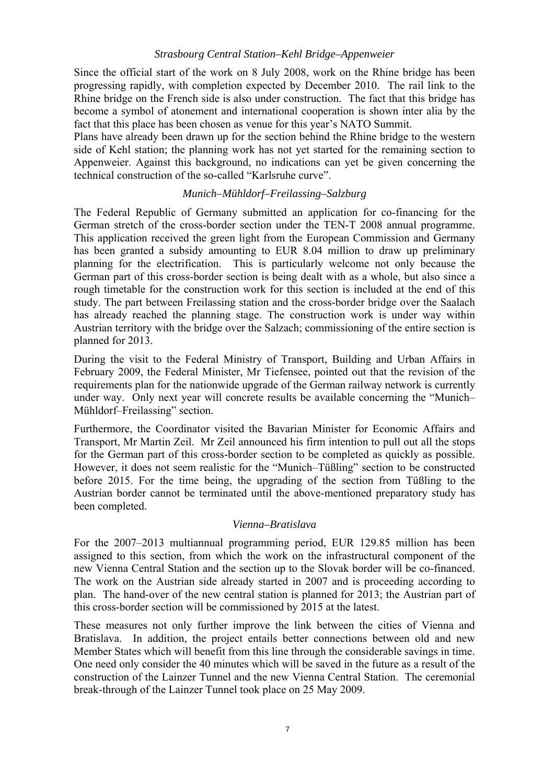## *Strasbourg Central Station–Kehl Bridge–Appenweier*

<span id="page-6-0"></span>Since the official start of the work on 8 July 2008, work on the Rhine bridge has been progressing rapidly, with completion expected by December 2010. The rail link to the Rhine bridge on the French side is also under construction. The fact that this bridge has become a symbol of atonement and international cooperation is shown inter alia by the fact that this place has been chosen as venue for this year's NATO Summit.

Plans have already been drawn up for the section behind the Rhine bridge to the western side of Kehl station; the planning work has not yet started for the remaining section to Appenweier. Against this background, no indications can yet be given concerning the technical construction of the so-called "Karlsruhe curve".

## *Munich–Mühldorf–Freilassing–Salzburg*

<span id="page-6-1"></span>The Federal Republic of Germany submitted an application for co-financing for the German stretch of the cross-border section under the TEN-T 2008 annual programme. This application received the green light from the European Commission and Germany has been granted a subsidy amounting to EUR 8.04 million to draw up preliminary planning for the electrification. This is particularly welcome not only because the German part of this cross-border section is being dealt with as a whole, but also since a rough timetable for the construction work for this section is included at the end of this study. The part between Freilassing station and the cross-border bridge over the Saalach has already reached the planning stage. The construction work is under way within Austrian territory with the bridge over the Salzach; commissioning of the entire section is planned for 2013.

During the visit to the Federal Ministry of Transport, Building and Urban Affairs in February 2009, the Federal Minister, Mr Tiefensee, pointed out that the revision of the requirements plan for the nationwide upgrade of the German railway network is currently under way. Only next year will concrete results be available concerning the "Munich– Mühldorf–Freilassing" section.

Furthermore, the Coordinator visited the Bavarian Minister for Economic Affairs and Transport, Mr Martin Zeil. Mr Zeil announced his firm intention to pull out all the stops for the German part of this cross-border section to be completed as quickly as possible. However, it does not seem realistic for the "Munich–Tüßling" section to be constructed before 2015. For the time being, the upgrading of the section from Tüßling to the Austrian border cannot be terminated until the above-mentioned preparatory study has been completed.

## *Vienna–Bratislava*

<span id="page-6-2"></span>For the 2007–2013 multiannual programming period, EUR 129.85 million has been assigned to this section, from which the work on the infrastructural component of the new Vienna Central Station and the section up to the Slovak border will be co-financed. The work on the Austrian side already started in 2007 and is proceeding according to plan. The hand-over of the new central station is planned for 2013; the Austrian part of this cross-border section will be commissioned by 2015 at the latest.

These measures not only further improve the link between the cities of Vienna and Bratislava. In addition, the project entails better connections between old and new Member States which will benefit from this line through the considerable savings in time. One need only consider the 40 minutes which will be saved in the future as a result of the construction of the Lainzer Tunnel and the new Vienna Central Station. The ceremonial break-through of the Lainzer Tunnel took place on 25 May 2009.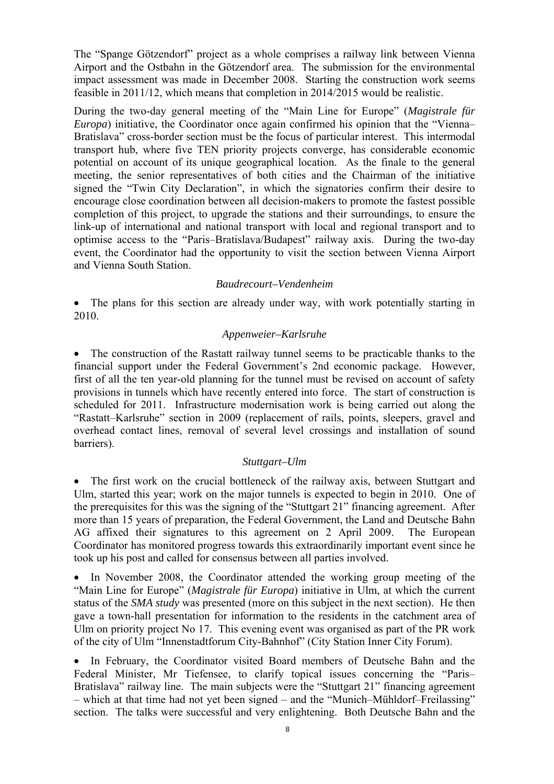The "Spange Götzendorf" project as a whole comprises a railway link between Vienna Airport and the Ostbahn in the Götzendorf area. The submission for the environmental impact assessment was made in December 2008. Starting the construction work seems feasible in 2011/12, which means that completion in 2014/2015 would be realistic.

During the two-day general meeting of the "Main Line for Europe" (*Magistrale für Europa*) initiative, the Coordinator once again confirmed his opinion that the "Vienna-Bratislava" cross-border section must be the focus of particular interest. This intermodal transport hub, where five TEN priority projects converge, has considerable economic potential on account of its unique geographical location. As the finale to the general meeting, the senior representatives of both cities and the Chairman of the initiative signed the "Twin City Declaration", in which the signatories confirm their desire to encourage close coordination between all decision-makers to promote the fastest possible completion of this project, to upgrade the stations and their surroundings, to ensure the link-up of international and national transport with local and regional transport and to optimise access to the "Paris–Bratislava/Budapest" railway axis. During the two-day event, the Coordinator had the opportunity to visit the section between Vienna Airport and Vienna South Station.

#### *Baudrecourt–Vendenheim*

<span id="page-7-1"></span><span id="page-7-0"></span>• The plans for this section are already under way, with work potentially starting in 2010.

#### *Appenweier–Karlsruhe*

• The construction of the Rastatt railway tunnel seems to be practicable thanks to the financial support under the Federal Government's 2nd economic package. However, first of all the ten year-old planning for the tunnel must be revised on account of safety provisions in tunnels which have recently entered into force. The start of construction is scheduled for 2011. Infrastructure modernisation work is being carried out along the "Rastatt–Karlsruhe" section in 2009 (replacement of rails, points, sleepers, gravel and overhead contact lines, removal of several level crossings and installation of sound barriers).

#### *Stuttgart–Ulm*

<span id="page-7-2"></span>• The first work on the crucial bottleneck of the railway axis, between Stuttgart and Ulm, started this year; work on the major tunnels is expected to begin in 2010. One of the prerequisites for this was the signing of the "Stuttgart 21" financing agreement. After more than 15 years of preparation, the Federal Government, the Land and Deutsche Bahn AG affixed their signatures to this agreement on 2 April 2009. The European Coordinator has monitored progress towards this extraordinarily important event since he took up his post and called for consensus between all parties involved.

• In November 2008, the Coordinator attended the working group meeting of the "Main Line for Europe" (*Magistrale für Europa*) initiative in Ulm, at which the current status of the *SMA study* was presented (more on this subject in the next section). He then gave a town-hall presentation for information to the residents in the catchment area of Ulm on priority project No 17. This evening event was organised as part of the PR work of the city of Ulm "Innenstadtforum City-Bahnhof" (City Station Inner City Forum).

• In February, the Coordinator visited Board members of Deutsche Bahn and the Federal Minister, Mr Tiefensee, to clarify topical issues concerning the "Paris– Bratislava" railway line. The main subjects were the "Stuttgart 21" financing agreement – which at that time had not yet been signed – and the "Munich–Mühldorf–Freilassing" section. The talks were successful and very enlightening. Both Deutsche Bahn and the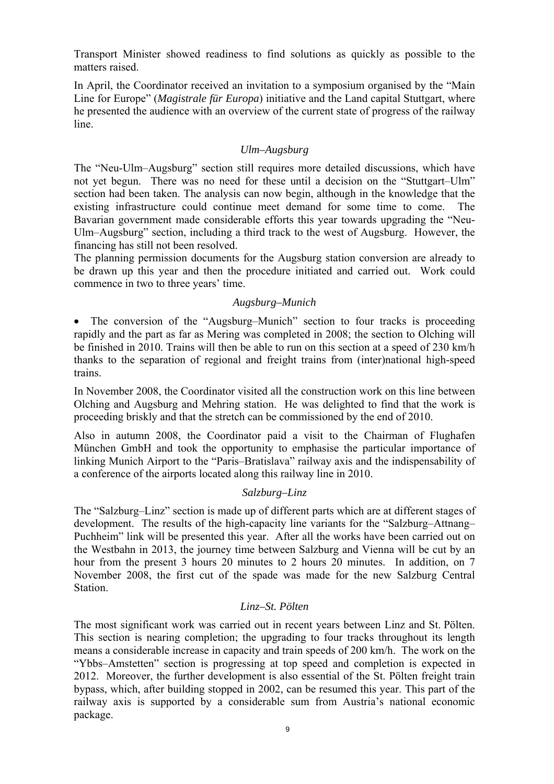Transport Minister showed readiness to find solutions as quickly as possible to the matters raised.

In April, the Coordinator received an invitation to a symposium organised by the "Main Line for Europe" (*Magistrale für Europa*) initiative and the Land capital Stuttgart, where he presented the audience with an overview of the current state of progress of the railway line.

## *Ulm–Augsburg*

<span id="page-8-0"></span>The "Neu-Ulm–Augsburg" section still requires more detailed discussions, which have not yet begun. There was no need for these until a decision on the "Stuttgart–Ulm" section had been taken. The analysis can now begin, although in the knowledge that the existing infrastructure could continue meet demand for some time to come. The Bavarian government made considerable efforts this year towards upgrading the "Neu-Ulm–Augsburg" section, including a third track to the west of Augsburg. However, the financing has still not been resolved.

<span id="page-8-1"></span>The planning permission documents for the Augsburg station conversion are already to be drawn up this year and then the procedure initiated and carried out. Work could commence in two to three years' time.

#### *Augsburg–Munich*

• The conversion of the "Augsburg–Munich" section to four tracks is proceeding rapidly and the part as far as Mering was completed in 2008; the section to Olching will be finished in 2010. Trains will then be able to run on this section at a speed of 230 km/h thanks to the separation of regional and freight trains from (inter)national high-speed trains.

In November 2008, the Coordinator visited all the construction work on this line between Olching and Augsburg and Mehring station. He was delighted to find that the work is proceeding briskly and that the stretch can be commissioned by the end of 2010.

Also in autumn 2008, the Coordinator paid a visit to the Chairman of Flughafen München GmbH and took the opportunity to emphasise the particular importance of linking Munich Airport to the "Paris–Bratislava" railway axis and the indispensability of a conference of the airports located along this railway line in 2010.

## *Salzburg–Linz*

<span id="page-8-2"></span>The "Salzburg–Linz" section is made up of different parts which are at different stages of development. The results of the high-capacity line variants for the "Salzburg–Attnang– Puchheim" link will be presented this year. After all the works have been carried out on the Westbahn in 2013, the journey time between Salzburg and Vienna will be cut by an hour from the present 3 hours 20 minutes to 2 hours 20 minutes. In addition, on 7 November 2008, the first cut of the spade was made for the new Salzburg Central Station.

## *Linz–St. Pölten*

<span id="page-8-3"></span>The most significant work was carried out in recent years between Linz and St. Pölten. This section is nearing completion; the upgrading to four tracks throughout its length means a considerable increase in capacity and train speeds of 200 km/h. The work on the "Ybbs–Amstetten" section is progressing at top speed and completion is expected in 2012. Moreover, the further development is also essential of the St. Pölten freight train bypass, which, after building stopped in 2002, can be resumed this year. This part of the railway axis is supported by a considerable sum from Austria's national economic package.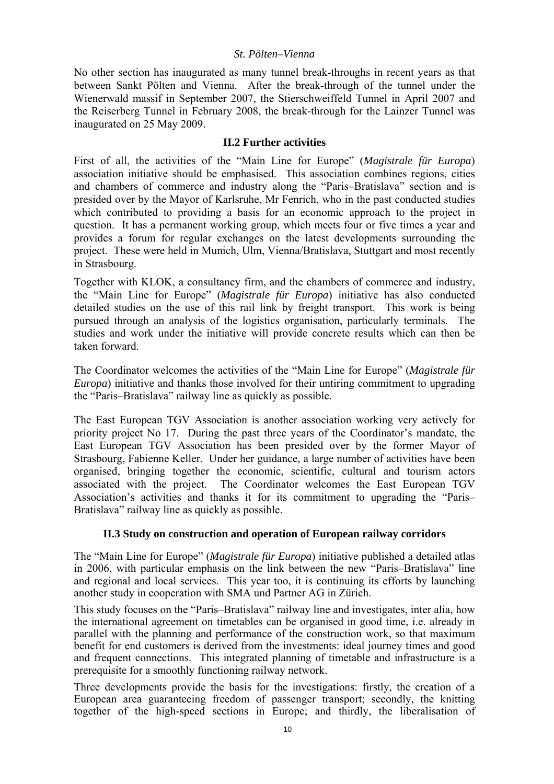#### *St. Pölten–Vienna*

<span id="page-9-0"></span>No other section has inaugurated as many tunnel break-throughs in recent years as that between Sankt Pölten and Vienna. After the break-through of the tunnel under the Wienerwald massif in September 2007, the Stierschweiffeld Tunnel in April 2007 and the Reiserberg Tunnel in February 2008, the break-through for the Lainzer Tunnel was inaugurated on 25 May 2009.

## **II.2 Further activities**

<span id="page-9-1"></span>First of all, the activities of the "Main Line for Europe" (*Magistrale für Europa*) association initiative should be emphasised. This association combines regions, cities and chambers of commerce and industry along the "Paris–Bratislava" section and is presided over by the Mayor of Karlsruhe, Mr Fenrich, who in the past conducted studies which contributed to providing a basis for an economic approach to the project in question. It has a permanent working group, which meets four or five times a year and provides a forum for regular exchanges on the latest developments surrounding the project. These were held in Munich, Ulm, Vienna/Bratislava, Stuttgart and most recently in Strasbourg.

Together with KLOK, a consultancy firm, and the chambers of commerce and industry, the "Main Line for Europe" (*Magistrale für Europa*) initiative has also conducted detailed studies on the use of this rail link by freight transport. This work is being pursued through an analysis of the logistics organisation, particularly terminals. The studies and work under the initiative will provide concrete results which can then be taken forward.

The Coordinator welcomes the activities of the "Main Line for Europe" (*Magistrale für Europa*) initiative and thanks those involved for their untiring commitment to upgrading the "Paris–Bratislava" railway line as quickly as possible.

The East European TGV Association is another association working very actively for priority project No 17. During the past three years of the Coordinator's mandate, the East European TGV Association has been presided over by the former Mayor of Strasbourg, Fabienne Keller. Under her guidance, a large number of activities have been organised, bringing together the economic, scientific, cultural and tourism actors associated with the project. The Coordinator welcomes the East European TGV Association's activities and thanks it for its commitment to upgrading the "Paris– Bratislava" railway line as quickly as possible.

## **II.3 Study on construction and operation of European railway corridors**

<span id="page-9-2"></span>The "Main Line for Europe" (*Magistrale für Europa*) initiative published a detailed atlas in 2006, with particular emphasis on the link between the new "Paris–Bratislava" line and regional and local services. This year too, it is continuing its efforts by launching another study in cooperation with SMA und Partner AG in Zürich.

This study focuses on the "Paris–Bratislava" railway line and investigates, inter alia, how the international agreement on timetables can be organised in good time, i.e. already in parallel with the planning and performance of the construction work, so that maximum benefit for end customers is derived from the investments: ideal journey times and good and frequent connections. This integrated planning of timetable and infrastructure is a prerequisite for a smoothly functioning railway network.

Three developments provide the basis for the investigations: firstly, the creation of a European area guaranteeing freedom of passenger transport; secondly, the knitting together of the high-speed sections in Europe; and thirdly, the liberalisation of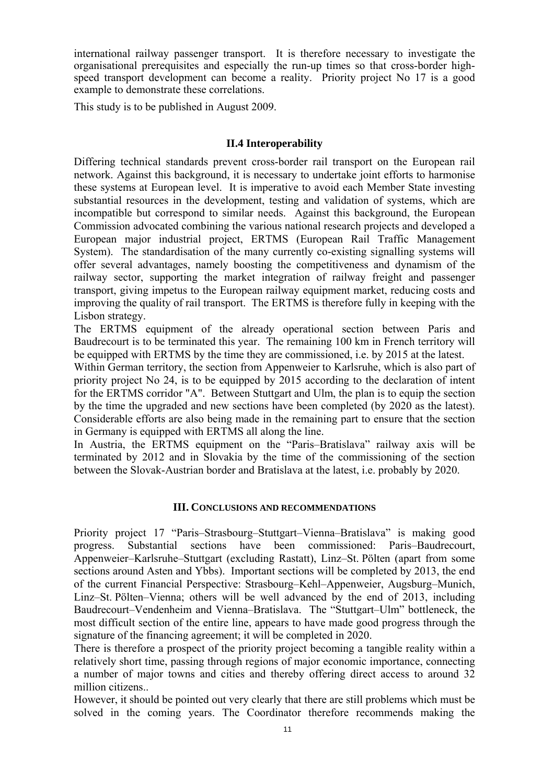international railway passenger transport. It is therefore necessary to investigate the organisational prerequisites and especially the run-up times so that cross-border highspeed transport development can become a reality. Priority project No 17 is a good example to demonstrate these correlations.

<span id="page-10-0"></span>This study is to be published in August 2009.

## **II.4 Interoperability**

Differing technical standards prevent cross-border rail transport on the European rail network. Against this background, it is necessary to undertake joint efforts to harmonise these systems at European level. It is imperative to avoid each Member State investing substantial resources in the development, testing and validation of systems, which are incompatible but correspond to similar needs. Against this background, the European Commission advocated combining the various national research projects and developed a European major industrial project, ERTMS (European Rail Traffic Management System). The standardisation of the many currently co-existing signalling systems will offer several advantages, namely boosting the competitiveness and dynamism of the railway sector, supporting the market integration of railway freight and passenger transport, giving impetus to the European railway equipment market, reducing costs and improving the quality of rail transport. The ERTMS is therefore fully in keeping with the Lisbon strategy.

The ERTMS equipment of the already operational section between Paris and Baudrecourt is to be terminated this year. The remaining 100 km in French territory will be equipped with ERTMS by the time they are commissioned, i.e. by 2015 at the latest.

Within German territory, the section from Appenweier to Karlsruhe, which is also part of priority project No 24, is to be equipped by 2015 according to the declaration of intent for the ERTMS corridor "A". Between Stuttgart and Ulm, the plan is to equip the section by the time the upgraded and new sections have been completed (by 2020 as the latest). Considerable efforts are also being made in the remaining part to ensure that the section in Germany is equipped with ERTMS all along the line.

In Austria, the ERTMS equipment on the "Paris–Bratislava" railway axis will be terminated by 2012 and in Slovakia by the time of the commissioning of the section between the Slovak-Austrian border and Bratislava at the latest, i.e. probably by 2020.

## **III. CONCLUSIONS AND RECOMMENDATIONS**

<span id="page-10-1"></span>Priority project 17 "Paris–Strasbourg–Stuttgart–Vienna–Bratislava" is making good progress. Substantial sections have been commissioned: Paris–Baudrecourt, Appenweier–Karlsruhe–Stuttgart (excluding Rastatt), Linz–St. Pölten (apart from some sections around Asten and Ybbs). Important sections will be completed by 2013, the end of the current Financial Perspective: Strasbourg–Kehl–Appenweier, Augsburg–Munich, Linz–St. Pölten–Vienna; others will be well advanced by the end of 2013, including Baudrecourt–Vendenheim and Vienna–Bratislava. The "Stuttgart–Ulm" bottleneck, the most difficult section of the entire line, appears to have made good progress through the signature of the financing agreement; it will be completed in 2020.

There is therefore a prospect of the priority project becoming a tangible reality within a relatively short time, passing through regions of major economic importance, connecting a number of major towns and cities and thereby offering direct access to around 32 million citizens..

However, it should be pointed out very clearly that there are still problems which must be solved in the coming years. The Coordinator therefore recommends making the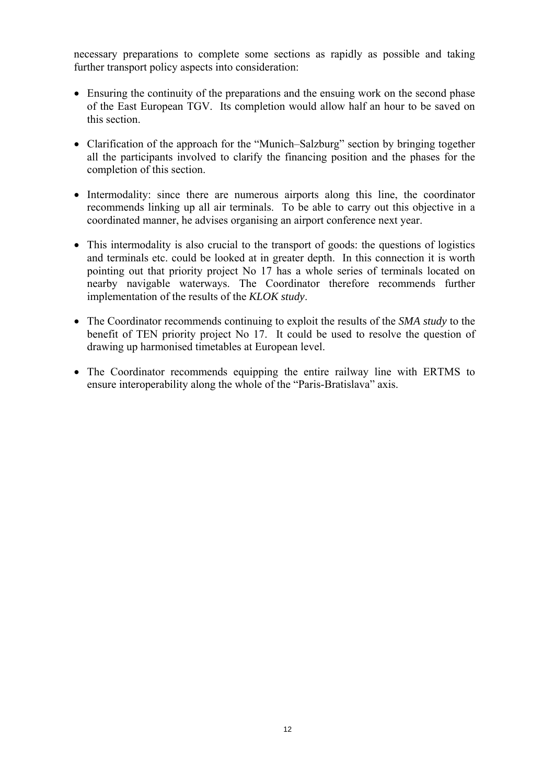necessary preparations to complete some sections as rapidly as possible and taking further transport policy aspects into consideration:

- Ensuring the continuity of the preparations and the ensuing work on the second phase of the East European TGV. Its completion would allow half an hour to be saved on this section.
- Clarification of the approach for the "Munich–Salzburg" section by bringing together all the participants involved to clarify the financing position and the phases for the completion of this section.
- Intermodality: since there are numerous airports along this line, the coordinator recommends linking up all air terminals. To be able to carry out this objective in a coordinated manner, he advises organising an airport conference next year.
- This intermodality is also crucial to the transport of goods: the questions of logistics and terminals etc. could be looked at in greater depth. In this connection it is worth pointing out that priority project No 17 has a whole series of terminals located on nearby navigable waterways. The Coordinator therefore recommends further implementation of the results of the *KLOK study*.
- The Coordinator recommends continuing to exploit the results of the *SMA study* to the benefit of TEN priority project No 17. It could be used to resolve the question of drawing up harmonised timetables at European level.
- The Coordinator recommends equipping the entire railway line with ERTMS to ensure interoperability along the whole of the "Paris-Bratislava" axis.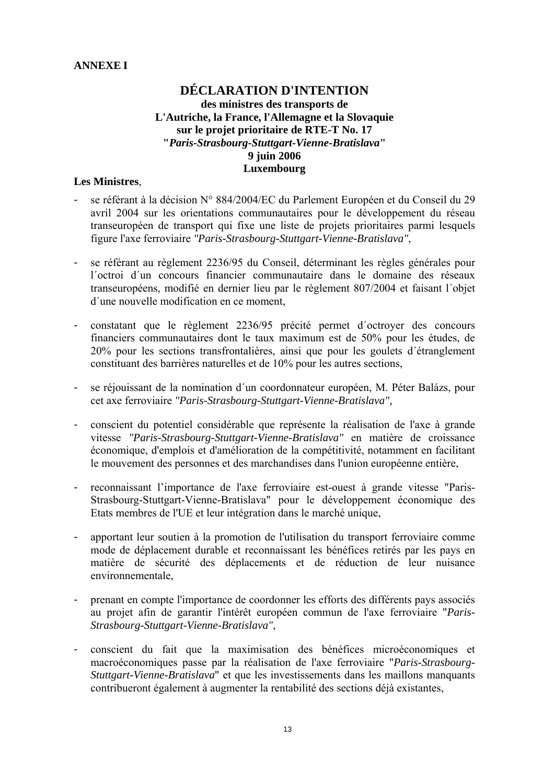## <span id="page-12-0"></span>**ANNEXE I**

## **DÉCLARATION D'INTENTION des ministres des transports de L'Autriche, la France, l'Allemagne et la Slovaquie sur le projet prioritaire de RTE-T No. 17 "***Paris-Strasbourg-Stuttgart-Vienne-Bratislava***" 9 juin 2006 Luxembourg**

## **Les Ministres**,

- se référant à la décision N° 884/2004/EC du Parlement Européen et du Conseil du 29 avril 2004 sur les orientations communautaires pour le développement du réseau transeuropéen de transport qui fixe une liste de projets prioritaires parmi lesquels figure l'axe ferroviaire *"Paris-Strasbourg-Stuttgart-Vienne-Bratislava"*,
- se référant au règlement 2236/95 du Conseil, déterminant les règles générales pour l´octroi d´un concours financier communautaire dans le domaine des réseaux transeuropéens, modifié en dernier lieu par le règlement 807/2004 et faisant l´objet d´une nouvelle modification en ce moment,
- constatant que le règlement 2236/95 précité permet d´octroyer des concours financiers communautaires dont le taux maximum est de 50% pour les études, de 20% pour les sections transfrontalières, ainsi que pour les goulets d´étranglement constituant des barrières naturelles et de 10% pour les autres sections,
- se réjouissant de la nomination d´un coordonnateur européen, M. Péter Balázs, pour cet axe ferroviaire *"Paris-Strasbourg-Stuttgart-Vienne-Bratislava",*
- conscient du potentiel considérable que représente la réalisation de l'axe à grande vitesse *"Paris-Strasbourg-Stuttgart-Vienne-Bratislava"* en matière de croissance économique, d'emplois et d'amélioration de la compétitivité, notamment en facilitant le mouvement des personnes et des marchandises dans l'union européenne entière,
- reconnaissant l'importance de l'axe ferroviaire est-ouest à grande vitesse "Paris-Strasbourg-Stuttgart-Vienne-Bratislava" pour le développement économique des Etats membres de l'UE et leur intégration dans le marché unique,
- apportant leur soutien à la promotion de l'utilisation du transport ferroviaire comme mode de déplacement durable et reconnaissant les bénéfices retirés par les pays en matière de sécurité des déplacements et de réduction de leur nuisance environnementale,
- prenant en compte l'importance de coordonner les efforts des différents pays associés au projet afin de garantir l'intérêt européen commun de l'axe ferroviaire "*Paris-Strasbourg-Stuttgart-Vienne-Bratislava"*,
- conscient du fait que la maximisation des bénéfices microéconomiques et macroéconomiques passe par la réalisation de l'axe ferroviaire "*Paris-Strasbourg-Stuttgart-Vienne-Bratislava*" et que les investissements dans les maillons manquants contribueront également à augmenter la rentabilité des sections déjà existantes,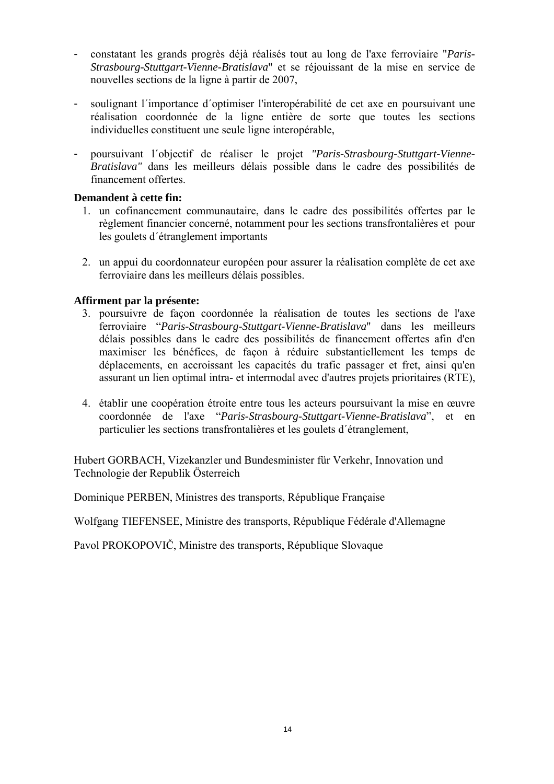- constatant les grands progrès déjà réalisés tout au long de l'axe ferroviaire "*Paris-Strasbourg-Stuttgart-Vienne-Bratislava*" et se réjouissant de la mise en service de nouvelles sections de la ligne à partir de 2007,
- soulignant l´importance d´optimiser l'interopérabilité de cet axe en poursuivant une réalisation coordonnée de la ligne entière de sorte que toutes les sections individuelles constituent une seule ligne interopérable,
- poursuivant l´objectif de réaliser le projet *"Paris-Strasbourg-Stuttgart-Vienne-Bratislava"* dans les meilleurs délais possible dans le cadre des possibilités de financement offertes.

## **Demandent à cette fin:**

- 1. un cofinancement communautaire, dans le cadre des possibilités offertes par le règlement financier concerné, notamment pour les sections transfrontalières et pour les goulets d´étranglement importants
- 2. un appui du coordonnateur européen pour assurer la réalisation complète de cet axe ferroviaire dans les meilleurs délais possibles.

## **Affirment par la présente:**

- 3. poursuivre de façon coordonnée la réalisation de toutes les sections de l'axe ferroviaire "*Paris-Strasbourg-Stuttgart-Vienne-Bratislava*" dans les meilleurs délais possibles dans le cadre des possibilités de financement offertes afin d'en maximiser les bénéfices, de façon à réduire substantiellement les temps de déplacements, en accroissant les capacités du trafic passager et fret, ainsi qu'en assurant un lien optimal intra- et intermodal avec d'autres projets prioritaires (RTE),
- 4. établir une coopération étroite entre tous les acteurs poursuivant la mise en œuvre coordonnée de l'axe "*Paris-Strasbourg-Stuttgart-Vienne-Bratislava*", et en particulier les sections transfrontalières et les goulets d´étranglement,

Hubert GORBACH, Vizekanzler und Bundesminister für Verkehr, Innovation und Technologie der Republik Österreich

Dominique PERBEN, Ministres des transports, République Française

Wolfgang TIEFENSEE, Ministre des transports, République Fédérale d'Allemagne

Pavol PROKOPOVIČ, Ministre des transports, République Slovaque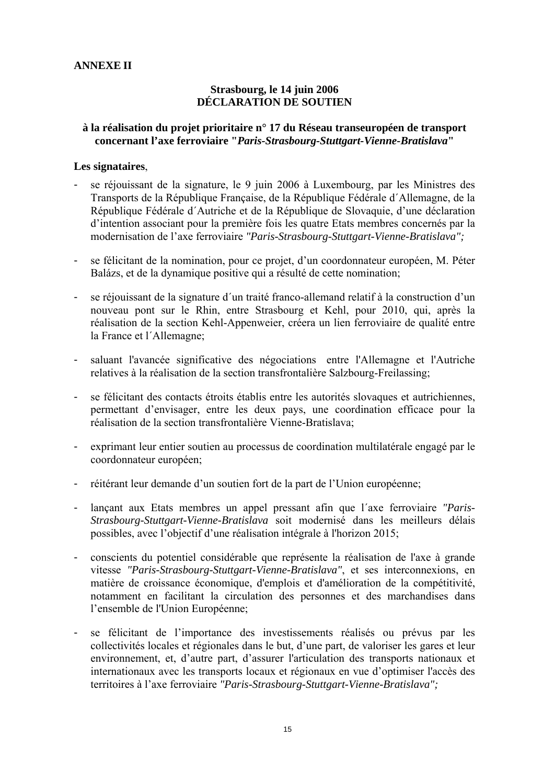## <span id="page-14-0"></span>**ANNEXE II**

## **Strasbourg, le 14 juin 2006 DÉCLARATION DE SOUTIEN**

#### **à la réalisation du projet prioritaire n° 17 du Réseau transeuropéen de transport concernant l'axe ferroviaire "***Paris-Strasbourg-Stuttgart-Vienne-Bratislava***"**

#### **Les signataires**,

- se réjouissant de la signature, le 9 juin 2006 à Luxembourg, par les Ministres des Transports de la République Française, de la République Fédérale d´Allemagne, de la République Fédérale d´Autriche et de la République de Slovaquie, d'une déclaration d'intention associant pour la première fois les quatre Etats membres concernés par la modernisation de l'axe ferroviaire *"Paris-Strasbourg-Stuttgart-Vienne-Bratislava";*
- se félicitant de la nomination, pour ce projet, d'un coordonnateur européen, M. Péter Balázs, et de la dynamique positive qui a résulté de cette nomination;
- se réjouissant de la signature d´un traité franco-allemand relatif à la construction d'un nouveau pont sur le Rhin, entre Strasbourg et Kehl, pour 2010, qui, après la réalisation de la section Kehl-Appenweier, créera un lien ferroviaire de qualité entre la France et l´Allemagne;
- saluant l'avancée significative des négociations entre l'Allemagne et l'Autriche relatives à la réalisation de la section transfrontalière Salzbourg-Freilassing;
- se félicitant des contacts étroits établis entre les autorités slovaques et autrichiennes, permettant d'envisager, entre les deux pays, une coordination efficace pour la réalisation de la section transfrontalière Vienne-Bratislava;
- exprimant leur entier soutien au processus de coordination multilatérale engagé par le coordonnateur européen;
- réitérant leur demande d'un soutien fort de la part de l'Union européenne;
- lançant aux Etats membres un appel pressant afin que l´axe ferroviaire *"Paris-Strasbourg-Stuttgart-Vienne-Bratislava* soit modernisé dans les meilleurs délais possibles, avec l'objectif d'une réalisation intégrale à l'horizon 2015;
- conscients du potentiel considérable que représente la réalisation de l'axe à grande vitesse *"Paris-Strasbourg-Stuttgart-Vienne-Bratislava"*, et ses interconnexions, en matière de croissance économique, d'emplois et d'amélioration de la compétitivité, notamment en facilitant la circulation des personnes et des marchandises dans l'ensemble de l'Union Européenne;
- se félicitant de l'importance des investissements réalisés ou prévus par les collectivités locales et régionales dans le but, d'une part, de valoriser les gares et leur environnement, et, d'autre part, d'assurer l'articulation des transports nationaux et internationaux avec les transports locaux et régionaux en vue d'optimiser l'accès des territoires à l'axe ferroviaire *"Paris-Strasbourg-Stuttgart-Vienne-Bratislava";*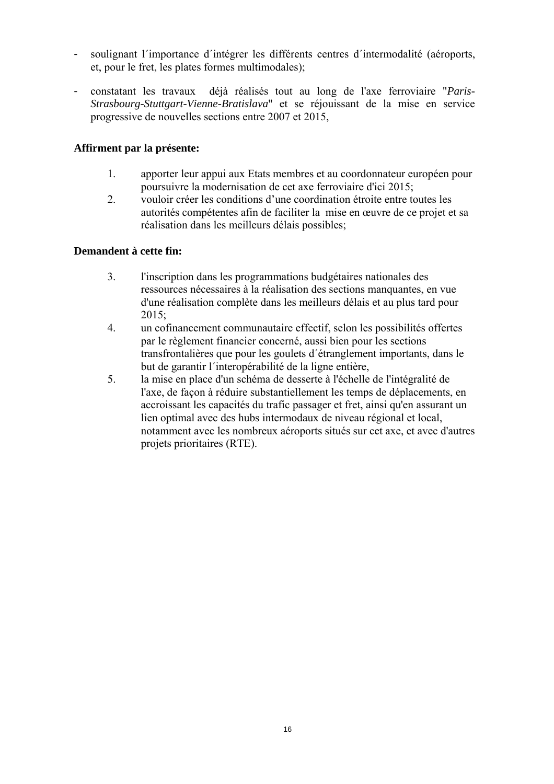- soulignant l'importance d'intégrer les différents centres d'intermodalité (aéroports, et, pour le fret, les plates formes multimodales);
- constatant les travaux déjà réalisés tout au long de l'axe ferroviaire "*Paris-Strasbourg-Stuttgart-Vienne-Bratislava*" et se réjouissant de la mise en service progressive de nouvelles sections entre 2007 et 2015,

## **Affirment par la présente:**

- 1. apporter leur appui aux Etats membres et au coordonnateur européen pour poursuivre la modernisation de cet axe ferroviaire d'ici 2015;
- 2. vouloir créer les conditions d'une coordination étroite entre toutes les autorités compétentes afin de faciliter la mise en œuvre de ce projet et sa réalisation dans les meilleurs délais possibles;

## **Demandent à cette fin:**

- 3. l'inscription dans les programmations budgétaires nationales des ressources nécessaires à la réalisation des sections manquantes, en vue d'une réalisation complète dans les meilleurs délais et au plus tard pour 2015;
- 4. un cofinancement communautaire effectif, selon les possibilités offertes par le règlement financier concerné, aussi bien pour les sections transfrontalières que pour les goulets d´étranglement importants, dans le but de garantir l´interopérabilité de la ligne entière,
- 5. la mise en place d'un schéma de desserte à l'échelle de l'intégralité de l'axe, de façon à réduire substantiellement les temps de déplacements, en accroissant les capacités du trafic passager et fret, ainsi qu'en assurant un lien optimal avec des hubs intermodaux de niveau régional et local, notamment avec les nombreux aéroports situés sur cet axe, et avec d'autres projets prioritaires (RTE).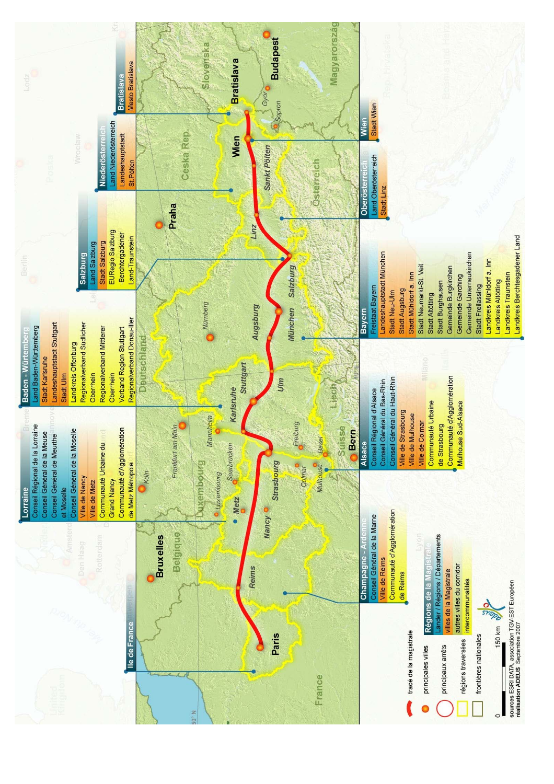